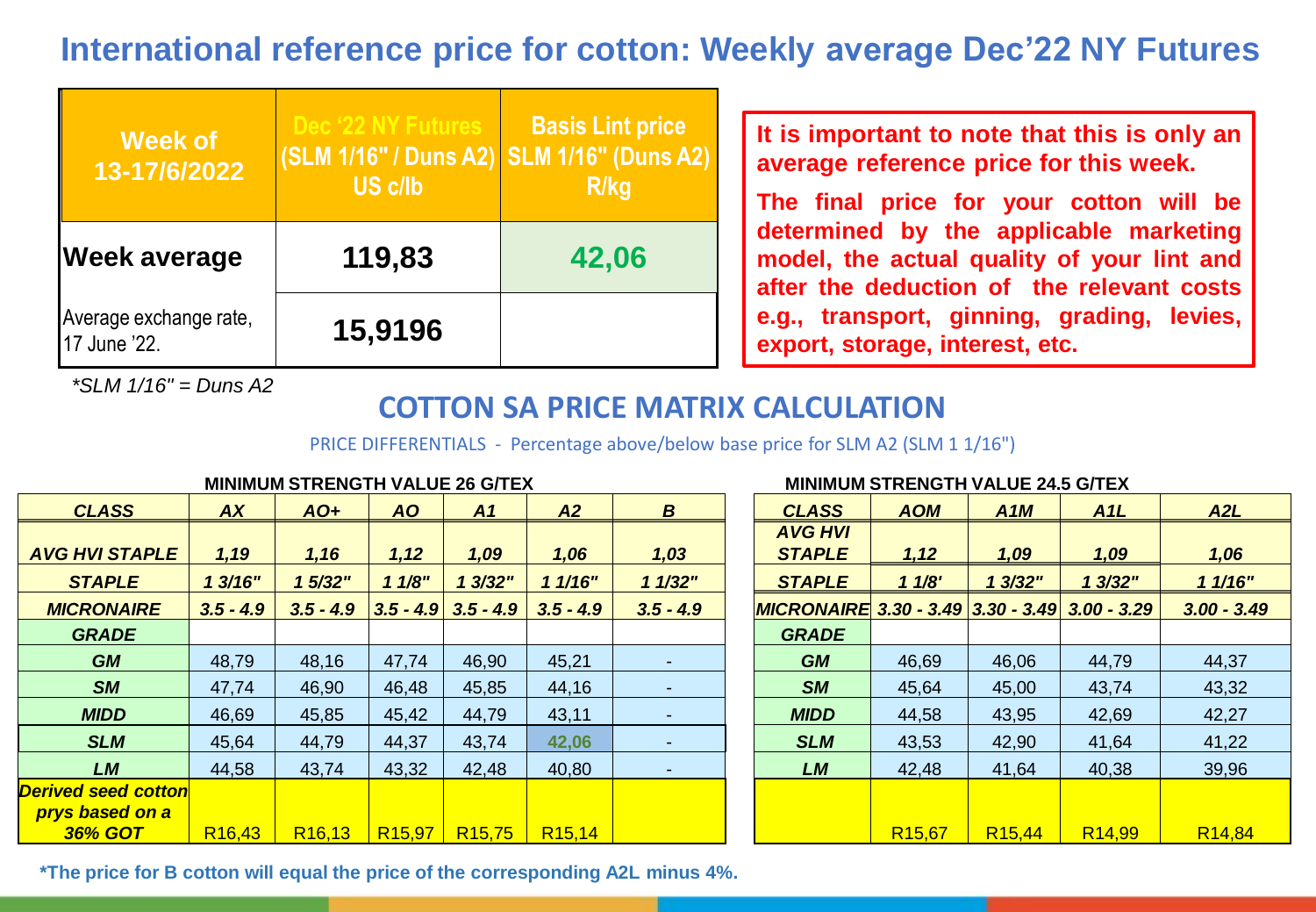# **International reference price for cotton: Weekly average Dec'22 NY Futures**

| <b>Week of</b><br>13-17/6/2022         | Dec '22 NY Futures<br>(SLM 1/16" / Duns A2) SLM 1/16" (Duns A2)<br>US c/lb | <b>Basis Lint price</b><br><b>R/kg</b> |
|----------------------------------------|----------------------------------------------------------------------------|----------------------------------------|
| <b>Week average</b>                    | 119,83                                                                     | 42,06                                  |
| Average exchange rate,<br>17 June '22. | 15,9196                                                                    |                                        |

*\*SLM 1/16" = Duns A2*

### **It is important to note that this is only an average reference price for this week.**

**The final price for your cotton will be determined by the applicable marketing model, the actual quality of your lint and after the deduction of the relevant costs e.g., transport, ginning, grading, levies, export, storage, interest, etc.**

## **COTTON SA PRICE MATRIX CALCULATION**

PRICE DIFFERENTIALS - Percentage above/below base price for SLM A2 (SLM 1 1/16")

|                            |                    | MINIMUM STRENGTH VALUE 26 G/TEX |                    |                         |                    |                          |                                                | MINIMUM STRENGTH VALUE 24.5 G/TEX |                    |                    |                    |
|----------------------------|--------------------|---------------------------------|--------------------|-------------------------|--------------------|--------------------------|------------------------------------------------|-----------------------------------|--------------------|--------------------|--------------------|
| <b>CLASS</b>               | <b>AX</b>          | $AO+$                           | <b>AO</b>          | A1                      | A2                 | $\boldsymbol{B}$         | <b>CLASS</b>                                   | <b>AOM</b>                        | A1M                | A1L                | A <sub>2</sub> L   |
|                            |                    |                                 |                    |                         |                    |                          | <b>AVG HVI</b>                                 |                                   |                    |                    |                    |
| <b>AVG HVI STAPLE</b>      | 1,19               | 1,16                            | 1,12               | 1,09                    | 1,06               | 1,03                     | <b>STAPLE</b>                                  | 1,12                              | 1,09               | 1,09               | 1,06               |
| <b>STAPLE</b>              | 13/16"             | 1 5/32"                         | 11/8"              | 13/32"                  | 11/16"             | 11/32"                   | <b>STAPLE</b>                                  | 11/8'                             | 1 3/32"            | 1 3/32"            | 11/16"             |
| <b>MICRONAIRE</b>          | $3.5 - 4.9$        | $3.5 - 4.9$                     |                    | $3.5 - 4.9$ $3.5 - 4.9$ | $3.5 - 4.9$        | $3.5 - 4.9$              | MICRONAIRE 3.30 - 3.49 3.30 - 3.49 3.00 - 3.29 |                                   |                    |                    | $3.00 - 3.49$      |
| <b>GRADE</b>               |                    |                                 |                    |                         |                    |                          | <b>GRADE</b>                                   |                                   |                    |                    |                    |
| <b>GM</b>                  | 48,79              | 48,16                           | 47,74              | 46,90                   | 45,21              |                          | <b>GM</b>                                      | 46,69                             | 46,06              | 44,79              | 44,37              |
| <b>SM</b>                  | 47,74              | 46,90                           | 46,48              | 45,85                   | 44,16              | ٠.                       | <b>SM</b>                                      | 45,64                             | 45,00              | 43,74              | 43,32              |
| <b>MIDD</b>                | 46,69              | 45,85                           | 45,42              | 44,79                   | 43,11              |                          | <b>MIDD</b>                                    | 44,58                             | 43,95              | 42,69              | 42,27              |
| <b>SLM</b>                 | 45,64              | 44,79                           | 44,37              | 43,74                   | 42,06              | $\overline{\phantom{a}}$ | <b>SLM</b>                                     | 43,53                             | 42,90              | 41,64              | 41,22              |
| <b>LM</b>                  | 44,58              | 43,74                           | 43,32              | 42,48                   | 40,80              |                          | <b>LM</b>                                      | 42,48                             | 41,64              | 40,38              | 39,96              |
| <b>Derived seed cotton</b> |                    |                                 |                    |                         |                    |                          |                                                |                                   |                    |                    |                    |
| <b>prys based on a</b>     |                    |                                 |                    |                         |                    |                          |                                                |                                   |                    |                    |                    |
| <b>36% GOT</b>             | R <sub>16,43</sub> | R <sub>16,13</sub>              | R <sub>15,97</sub> | R <sub>15,75</sub>      | R <sub>15,14</sub> |                          |                                                | R <sub>15,67</sub>                | R <sub>15,44</sub> | R <sub>14,99</sub> | R <sub>14,84</sub> |
|                            |                    |                                 |                    |                         |                    |                          |                                                |                                   |                    |                    |                    |

**MINIMUM STRENGTH VALUE 26 G/TEX MINIMUM STRENGTH VALUE 24.5 G/TEX**

**\*The price for B cotton will equal the price of the corresponding A2L minus 4%.**